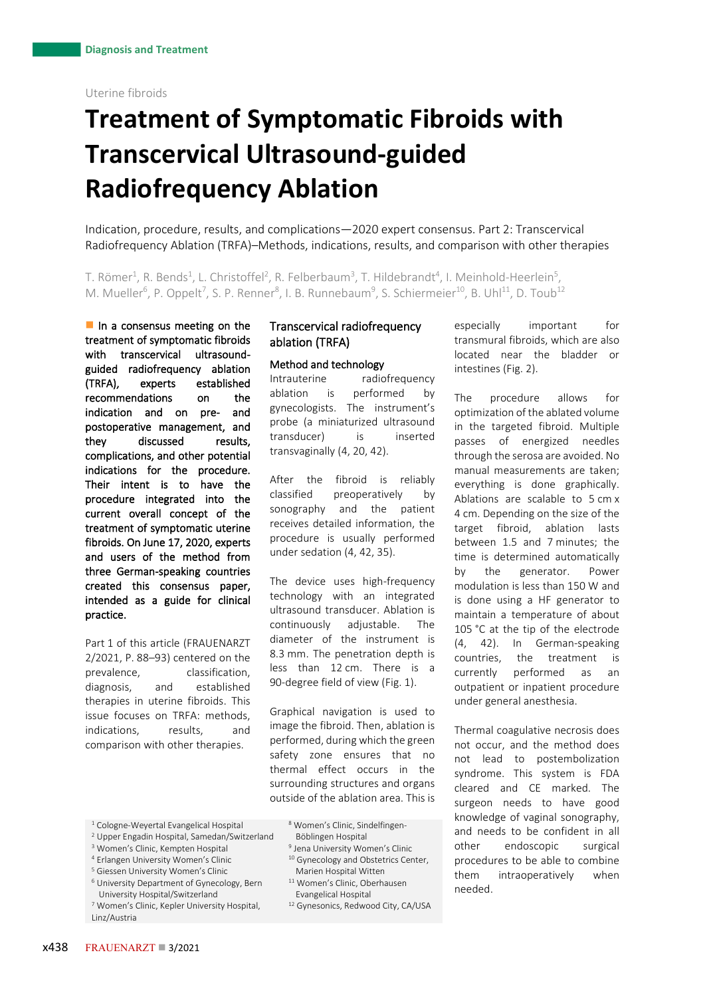### Uterine fibroids

# **Treatment of Symptomatic Fibroids with Transcervical Ultrasound-guided Radiofrequency Ablation**

Indication, procedure, results, and complications—2020 expert consensus. Part 2: Transcervical Radiofrequency Ablation (TRFA)–Methods, indications, results, and comparison with other therapies

T. Römer<sup>1</sup>, R. Bends<sup>1</sup>, L. Christoffel<sup>2</sup>, R. Felberbaum<sup>3</sup>, T. Hildebrandt<sup>4</sup>, I. Meinhold-Heerlein<sup>5</sup>, M. Mueller<sup>6</sup>, P. Oppelt<sup>7</sup>, S. P. Renner<sup>8</sup>, I. B. Runnebaum<sup>9</sup>, S. Schiermeier<sup>10</sup>, B. Uhl<sup>11</sup>, D. Toub<sup>12</sup>

 $\blacksquare$  In a consensus meeting on the treatment of symptomatic fibroids with transcervical ultrasoundguided radiofrequency ablation (TRFA), experts established recommendations on the indication and on pre- and postoperative management, and they discussed results, complications, and other potential indications for the procedure. Their intent is to have the procedure integrated into the current overall concept of the treatment of symptomatic uterine fibroids. On June 17, 2020, experts and users of the method from three German-speaking countries created this consensus paper, intended as a guide for clinical practice.

Part 1 of this article (FRAUENARZT 2/2021, P. 88–93) centered on the prevalence, classification, diagnosis, and established therapies in uterine fibroids. This issue focuses on TRFA: methods, indications, results, and comparison with other therapies.

## Transcervical radiofrequency ablation (TRFA)

#### Method and technology

Intrauterine radiofrequency ablation is performed by gynecologists. The instrument's probe (a miniaturized ultrasound transducer) is inserted transvaginally (4, 20, 42).

After the fibroid is reliably classified preoperatively by sonography and the patient receives detailed information, the procedure is usually performed under sedation (4, 42, 35).

The device uses high-frequency technology with an integrated ultrasound transducer. Ablation is continuously adjustable. The diameter of the instrument is 8.3 mm. The penetration depth is less than 12 cm. There is a 90-degree field of view (Fig. 1).

Graphical navigation is used to image the fibroid. Then, ablation is performed, during which the green safety zone ensures that no thermal effect occurs in the surrounding structures and organs outside of the ablation area. This is

<sup>1</sup> Cologne-Weyertal Evangelical Hospital

- <sup>2</sup> Upper Engadin Hospital, Samedan/Switzerland
- <sup>3</sup> Women's Clinic, Kempten Hospital
- <sup>4</sup> Erlangen University Women's Clinic
- <sup>5</sup> Giessen University Women's Clinic
- <sup>6</sup> University Department of Gynecology, Bern University Hospital/Switzerland <sup>7</sup> Women's Clinic, Kepler University Hospital,
- <sup>9</sup> Jena University Women's Clinic

<sup>8</sup> Women's Clinic, Sindelfingen-Böblingen Hospital

- <sup>10</sup> Gynecology and Obstetrics Center, Marien Hospital Witten
- <sup>11</sup> Women's Clinic, Oberhausen
- Evangelical Hospital
- <sup>12</sup> Gynesonics, Redwood City, CA/USA

especially important for transmural fibroids, which are also located near the bladder or intestines (Fig. 2).

The procedure allows for optimization of the ablated volume in the targeted fibroid. Multiple passes of energized needles through the serosa are avoided. No manual measurements are taken; everything is done graphically. Ablations are scalable to 5 cm x 4 cm. Depending on the size of the target fibroid, ablation lasts between 1.5 and 7 minutes; the time is determined automatically by the generator. Power modulation is less than 150 W and is done using a HF generator to maintain a temperature of about 105 °C at the tip of the electrode (4, 42). In German-speaking countries, the treatment is currently performed as an outpatient or inpatient procedure under general anesthesia.

Thermal coagulative necrosis does not occur, and the method does not lead to postembolization syndrome. This system is FDA cleared and CE marked. The surgeon needs to have good knowledge of vaginal sonography, and needs to be confident in all other endoscopic surgical procedures to be able to combine them intraoperatively when needed.

Linz/Austria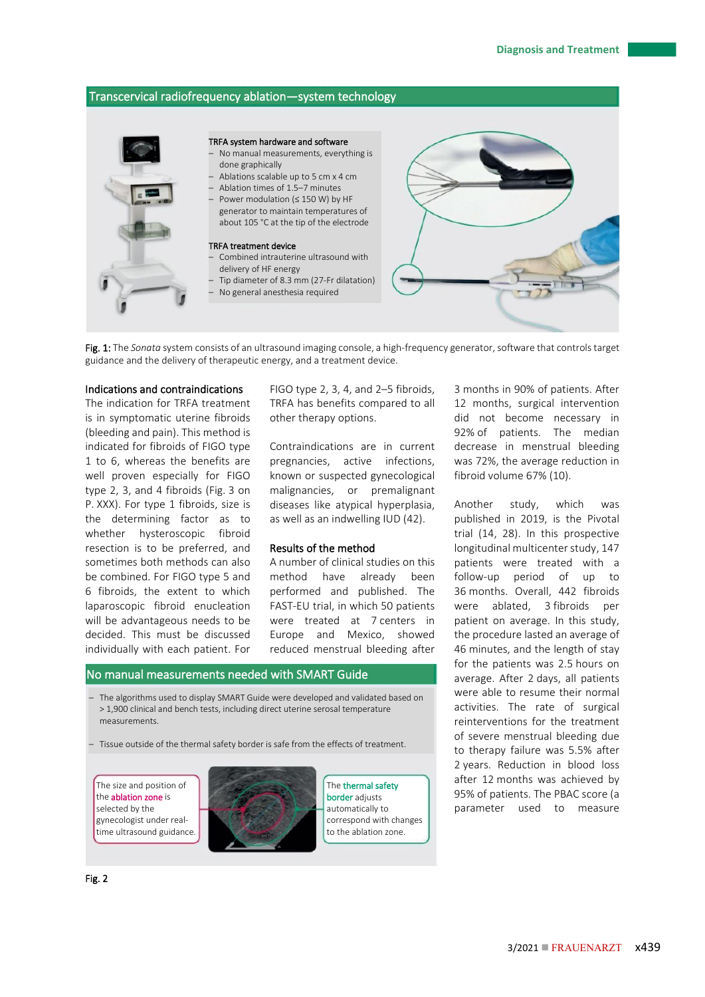## Transcervical radiofrequency ablation—system technology



Fig. 1: The *Sonata* system consists of an ultrasound imaging console, a high-frequency generator, software that controls target guidance and the delivery of therapeutic energy, and a treatment device.

#### Indications and contraindications

The indication for TRFA treatment is in symptomatic uterine fibroids (bleeding and pain). This method is indicated for fibroids of FIGO type 1 to 6, whereas the benefits are well proven especially for FIGO type 2, 3, and 4 fibroids (Fig. 3 on P. XXX). For type 1 fibroids, size is the determining factor as to whether hysteroscopic fibroid resection is to be preferred, and sometimes both methods can also be combined. For FIGO type 5 and 6 fibroids, the extent to which laparoscopic fibroid enucleation will be advantageous needs to be decided. This must be discussed individually with each patient. For

FIGO type 2, 3, 4, and 2–5 fibroids, TRFA has benefits compared to all other therapy options.

Contraindications are in current pregnancies, active infections, known or suspected gynecological malignancies, or premalignant diseases like atypical hyperplasia, as well as an indwelling IUD (42).

#### Results of the method

A number of clinical studies on this method have already been performed and published. The FAST-EU trial, in which 50 patients were treated at 7 centers in Europe and Mexico, showed reduced menstrual bleeding after

#### No manual measurements needed with SMART Guide

- The algorithms used to display SMART Guide were developed and validated based on > 1,900 clinical and bench tests, including direct uterine serosal temperature measurements.
- Tissue outside of the thermal safety border is safe from the effects of treatment.

The size and position of the **ablation zone** is selected by the gynecologist under realtime ultrasound guidance.



The thermal safety border adjusts automatically to correspond with changes to the ablation zone.

3 months in 90% of patients. After 12 months, surgical intervention did not become necessary in 92% of patients. The median decrease in menstrual bleeding was 72%, the average reduction in fibroid volume 67% (10).

Another study, which was published in 2019, is the Pivotal trial (14, 28). In this prospective longitudinal multicenter study, 147 patients were treated with a follow-up period of up to 36 months. Overall, 442 fibroids were ablated, 3 fibroids per patient on average. In this study, the procedure lasted an average of 46 minutes, and the length of stay for the patients was 2.5 hours on average. After 2 days, all patients were able to resume their normal activities. The rate of surgical reinterventions for the treatment of severe menstrual bleeding due to therapy failure was 5.5% after 2 years. Reduction in blood loss after 12 months was achieved by 95% of patients. The PBAC score (a parameter used to measure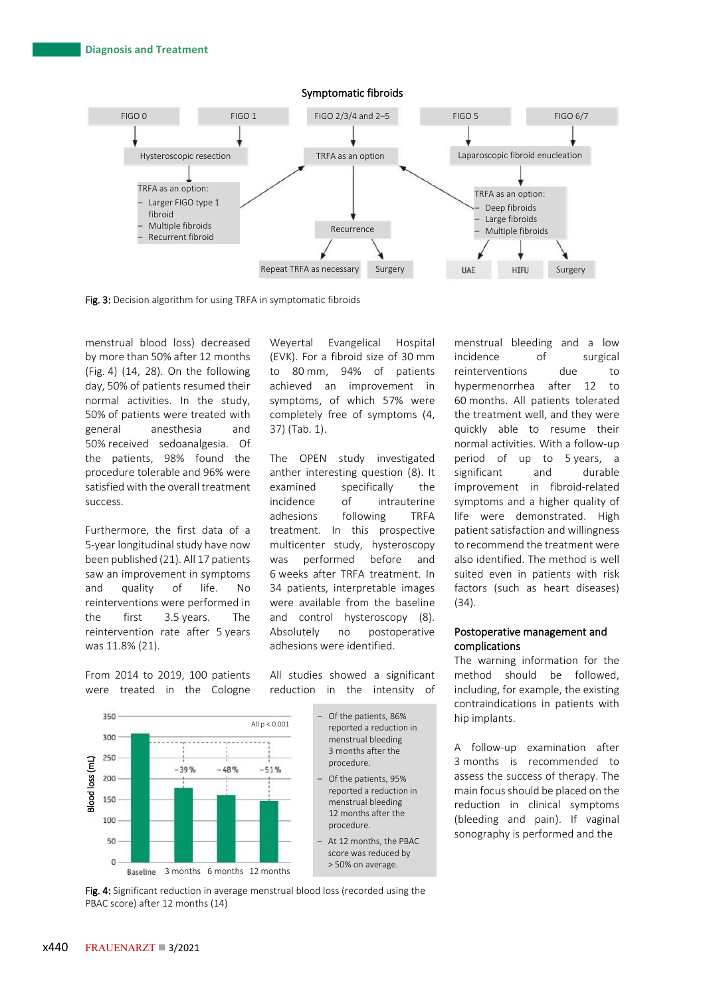

#### Symptomatic fibroids

Fig. 3: Decision algorithm for using TRFA in symptomatic fibroids

menstrual blood loss) decreased by more than 50% after 12 months (Fig. 4) (14, 28). On the following day, 50% of patients resumed their normal activities. In the study, 50% of patients were treated with general anesthesia and 50% received sedoanalgesia. Of the patients, 98% found the procedure tolerable and 96% were satisfied with the overall treatment success.

Furthermore, the first data of a 5-year longitudinal study have now been published (21). All 17 patients saw an improvement in symptoms and quality of life. No reinterventions were performed in the first 3.5 years. The reintervention rate after 5 years was 11.8% (21).

Weyertal Evangelical Hospital (EVK). For a fibroid size of 30 mm to 80 mm, 94% of patients achieved an improvement in symptoms, of which 57% were completely free of symptoms (4, 37) (Tab. 1).

The OPEN study investigated anther interesting question (8). It examined specifically the incidence of intrauterine adhesions following TRFA treatment. In this prospective multicenter study, hysteroscopy was performed before and 6 weeks after TRFA treatment. In 34 patients, interpretable images were available from the baseline and control hysteroscopy (8). Absolutely no postoperative adhesions were identified.

From 2014 to 2019, 100 patients were treated in the Cologne



All studies showed a significant reduction in the intensity of

- Of the patients, 86% reported a reduction in menstrual bleeding 3 months after the procedure. – Of the patients, 95%
- reported a reduction in menstrual bleeding 12 months after the procedure.
- At 12 months, the PBAC score was reduced by > 50% on average.

menstrual bleeding and a low incidence of surgical reinterventions due to hypermenorrhea after 12 to 60 months. All patients tolerated the treatment well, and they were quickly able to resume their normal activities. With a follow-up period of up to 5 years, a significant and durable improvement in fibroid-related symptoms and a higher quality of life were demonstrated. High patient satisfaction and willingness to recommend the treatment were also identified. The method is well suited even in patients with risk factors (such as heart diseases) (34).

## Postoperative management and complications

The warning information for the method should be followed, including, for example, the existing contraindications in patients with hip implants.

A follow-up examination after 3 months is recommended to assess the success of therapy. The main focus should be placed on the reduction in clinical symptoms (bleeding and pain). If vaginal sonography is performed and the

Fig. 4: Significant reduction in average menstrual blood loss (recorded using the PBAC score) after 12 months (14)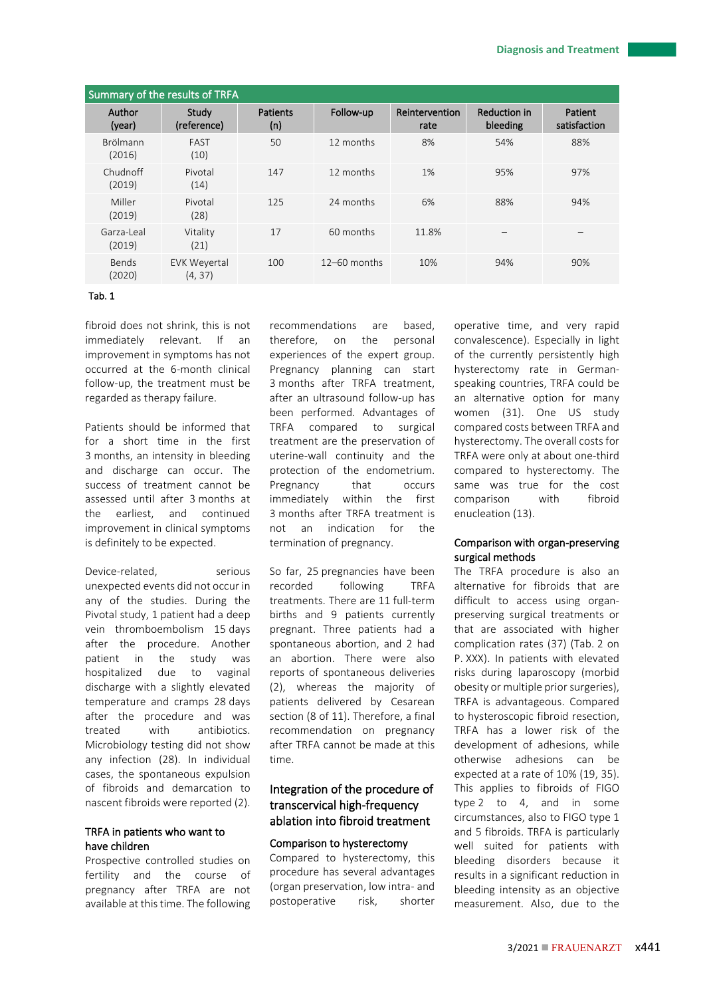| Summary of the results of TRFA |                                |                 |                |                        |                          |                         |  |  |
|--------------------------------|--------------------------------|-----------------|----------------|------------------------|--------------------------|-------------------------|--|--|
| Author<br>(year)               | Study<br>(reference)           | Patients<br>(n) | Follow-up      | Reintervention<br>rate | Reduction in<br>bleeding | Patient<br>satisfaction |  |  |
| Brölmann<br>(2016)             | FAST<br>(10)                   | 50              | 12 months      | 8%                     | 54%                      | 88%                     |  |  |
| Chudnoff<br>(2019)             | Pivotal<br>(14)                | 147             | 12 months      | 1%                     | 95%                      | 97%                     |  |  |
| Miller<br>(2019)               | Pivotal<br>(28)                | 125             | 24 months      | 6%                     | 88%                      | 94%                     |  |  |
| Garza-Leal<br>(2019)           | Vitality<br>(21)               | 17              | 60 months      | 11.8%                  |                          |                         |  |  |
| Bends<br>(2020)                | <b>EVK Weyertal</b><br>(4, 37) | 100             | $12-60$ months | 10%                    | 94%                      | 90%                     |  |  |

Tab. 1

fibroid does not shrink, this is not immediately relevant. If an improvement in symptoms has not occurred at the 6-month clinical follow-up, the treatment must be regarded as therapy failure.

Patients should be informed that for a short time in the first 3 months, an intensity in bleeding and discharge can occur. The success of treatment cannot be assessed until after 3 months at the earliest, and continued improvement in clinical symptoms is definitely to be expected.

Device-related, serious unexpected events did not occur in any of the studies. During the Pivotal study, 1 patient had a deep vein thromboembolism 15 days after the procedure. Another patient in the study was hospitalized due to vaginal discharge with a slightly elevated temperature and cramps 28 days after the procedure and was treated with antibiotics. Microbiology testing did not show any infection (28). In individual cases, the spontaneous expulsion of fibroids and demarcation to nascent fibroids were reported (2).

## TRFA in patients who want to have children

Prospective controlled studies on fertility and the course of pregnancy after TRFA are not available at this time. The following

recommendations are based, therefore, on the personal experiences of the expert group. Pregnancy planning can start 3 months after TRFA treatment, after an ultrasound follow-up has been performed. Advantages of TRFA compared to surgical treatment are the preservation of uterine-wall continuity and the protection of the endometrium. Pregnancy that occurs immediately within the first 3 months after TRFA treatment is not an indication for the termination of pregnancy.

So far, 25 pregnancies have been recorded following TRFA treatments. There are 11 full-term births and 9 patients currently pregnant. Three patients had a spontaneous abortion, and 2 had an abortion. There were also reports of spontaneous deliveries (2), whereas the majority of patients delivered by Cesarean section (8 of 11). Therefore, a final recommendation on pregnancy after TRFA cannot be made at this time.

# Integration of the procedure of transcervical high-frequency ablation into fibroid treatment

#### Comparison to hysterectomy

Compared to hysterectomy, this procedure has several advantages (organ preservation, low intra- and postoperative risk, shorter

operative time, and very rapid convalescence). Especially in light of the currently persistently high hysterectomy rate in Germanspeaking countries, TRFA could be an alternative option for many women (31). One US study compared costs between TRFA and hysterectomy. The overall costs for TRFA were only at about one-third compared to hysterectomy. The same was true for the cost comparison with fibroid enucleation (13).

## Comparison with organ-preserving surgical methods

The TRFA procedure is also an alternative for fibroids that are difficult to access using organpreserving surgical treatments or that are associated with higher complication rates (37) (Tab. 2 on P. XXX). In patients with elevated risks during laparoscopy (morbid obesity or multiple prior surgeries), TRFA is advantageous. Compared to hysteroscopic fibroid resection, TRFA has a lower risk of the development of adhesions, while otherwise adhesions can be expected at a rate of 10% (19, 35). This applies to fibroids of FIGO type 2 to 4, and in some circumstances, also to FIGO type 1 and 5 fibroids. TRFA is particularly well suited for patients with bleeding disorders because it results in a significant reduction in bleeding intensity as an objective measurement. Also, due to the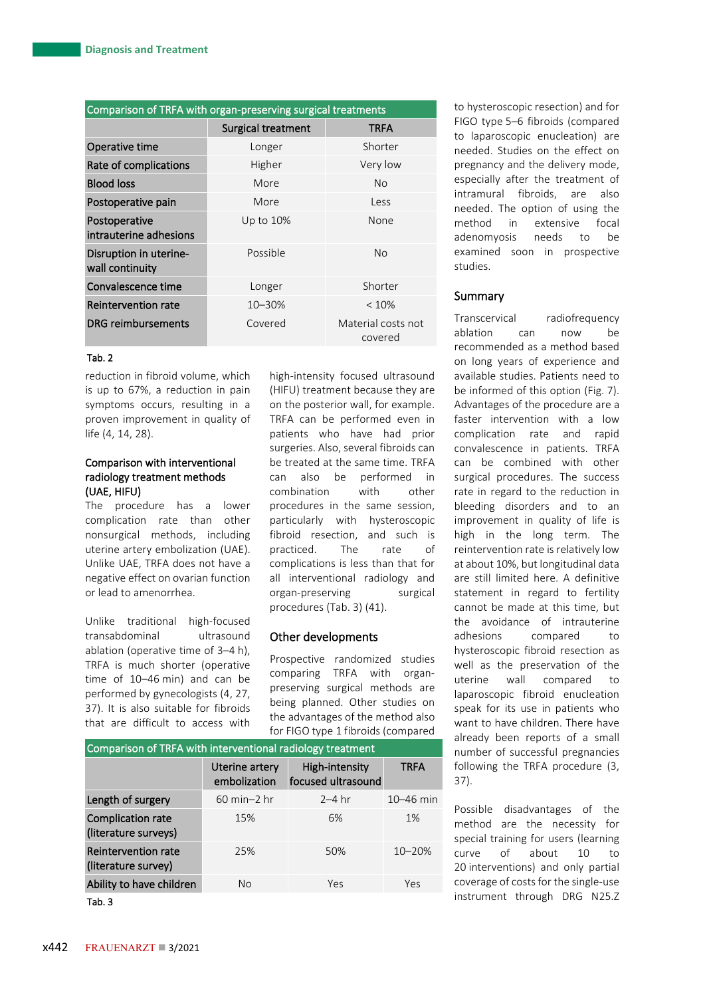| Comparison of TRFA with organ-preserving surgical treatments |                    |                               |  |  |  |  |
|--------------------------------------------------------------|--------------------|-------------------------------|--|--|--|--|
|                                                              | Surgical treatment | <b>TRFA</b>                   |  |  |  |  |
| Operative time                                               | Longer             | Shorter                       |  |  |  |  |
| Rate of complications                                        | Higher             | Very low                      |  |  |  |  |
| <b>Blood loss</b>                                            | More               | N <sub>0</sub>                |  |  |  |  |
| Postoperative pain                                           | More               | Less                          |  |  |  |  |
| Postoperative<br>intrauterine adhesions                      | Up to 10%          | None                          |  |  |  |  |
| Disruption in uterine-<br>wall continuity                    | Possible           | N <sub>0</sub>                |  |  |  |  |
| Convalescence time                                           | Longer             | Shorter                       |  |  |  |  |
| Reintervention rate                                          | 10-30%             | < 10%                         |  |  |  |  |
| <b>DRG</b> reimbursements                                    | Covered            | Material costs not<br>covered |  |  |  |  |

## Tab. 2

reduction in fibroid volume, which is up to 67%, a reduction in pain symptoms occurs, resulting in a proven improvement in quality of life (4, 14, 28).

## Comparison with interventional radiology treatment methods (UAE, HIFU)

The procedure has a lower complication rate than other nonsurgical methods, including uterine artery embolization (UAE). Unlike UAE, TRFA does not have a negative effect on ovarian function or lead to amenorrhea.

Unlike traditional high-focused transabdominal ultrasound ablation (operative time of 3–4 h), TRFA is much shorter (operative time of 10–46 min) and can be performed by gynecologists (4, 27, 37). It is also suitable for fibroids that are difficult to access with

high-intensity focused ultrasound (HIFU) treatment because they are on the posterior wall, for example. TRFA can be performed even in patients who have had prior surgeries. Also, several fibroids can be treated at the same time. TRFA can also be performed in combination with other procedures in the same session, particularly with hysteroscopic fibroid resection, and such is practiced. The rate of complications is less than that for all interventional radiology and organ-preserving surgical procedures (Tab. 3) (41).

## Other developments

Prospective randomized studies comparing TRFA with organpreserving surgical methods are being planned. Other studies on the advantages of the method also for FIGO type 1 fibroids (compared

| Comparison of TRFA with interventional radiology treatment |                                 |                                      |               |  |  |  |  |
|------------------------------------------------------------|---------------------------------|--------------------------------------|---------------|--|--|--|--|
|                                                            | Uterine artery<br>embolization  | High-intensity<br>focused ultrasound | <b>TRFA</b>   |  |  |  |  |
| Length of surgery                                          | $60 \text{ min} - 2 \text{ hr}$ | $2-4$ hr                             | $10 - 46$ min |  |  |  |  |
| <b>Complication rate</b><br>(literature surveys)           | 15%                             | 6%                                   | 1%            |  |  |  |  |
| <b>Reintervention rate</b><br>(literature survey)          | 25%                             | 50%                                  | $10 - 20%$    |  |  |  |  |
| Ability to have children                                   | No.                             | Yes                                  | Yes           |  |  |  |  |
| Tab. 3                                                     |                                 |                                      |               |  |  |  |  |

to hysteroscopic resection) and for FIGO type 5–6 fibroids (compared to laparoscopic enucleation) are needed. Studies on the effect on pregnancy and the delivery mode, especially after the treatment of intramural fibroids, are also needed. The option of using the method in extensive focal adenomyosis needs to be examined soon in prospective studies.

## Summary

Transcervical radiofrequency ablation can now be recommended as a method based on long years of experience and available studies. Patients need to be informed of this option (Fig. 7). Advantages of the procedure are a faster intervention with a low complication rate and rapid convalescence in patients. TRFA can be combined with other surgical procedures. The success rate in regard to the reduction in bleeding disorders and to an improvement in quality of life is high in the long term. The reintervention rate is relatively low at about 10%, but longitudinal data are still limited here. A definitive statement in regard to fertility cannot be made at this time, but the avoidance of intrauterine adhesions compared to hysteroscopic fibroid resection as well as the preservation of the uterine wall compared to laparoscopic fibroid enucleation speak for its use in patients who want to have children. There have already been reports of a small number of successful pregnancies following the TRFA procedure (3, 37).

Possible disadvantages of the method are the necessity for special training for users (learning curve of about 10 to 20 interventions) and only partial coverage of costs for the single-use instrument through DRG N25.Z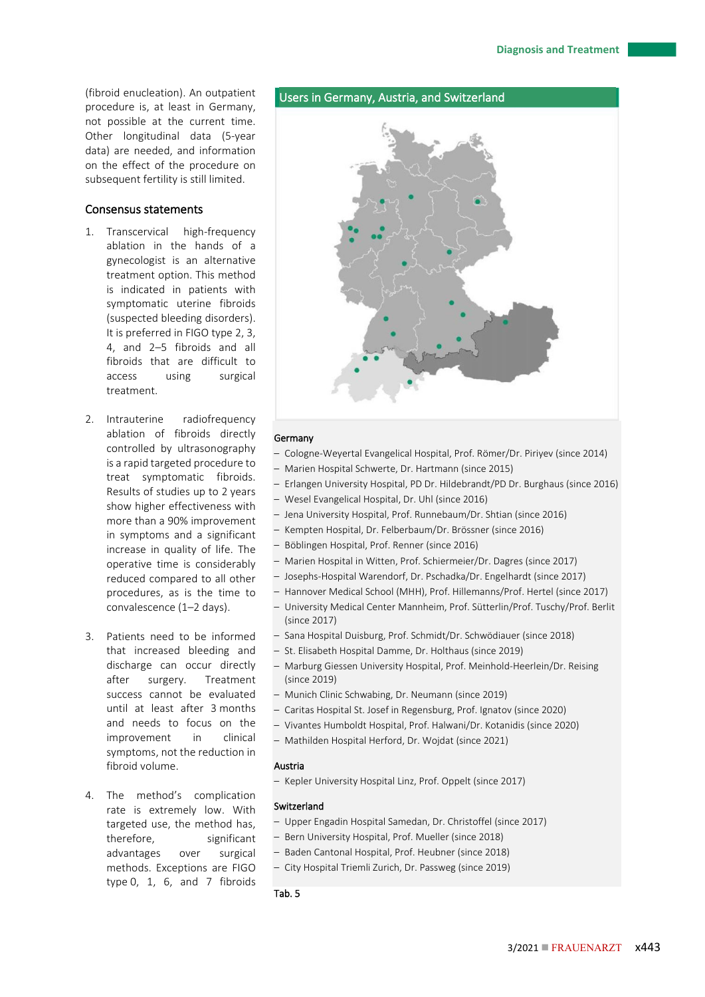(fibroid enucleation). An outpatient procedure is, at least in Germany, not possible at the current time. Other longitudinal data (5-year data) are needed, and information on the effect of the procedure on subsequent fertility is still limited.

## Consensus statements

- 1. Transcervical high-frequency ablation in the hands of a gynecologist is an alternative treatment option. This method is indicated in patients with symptomatic uterine fibroids (suspected bleeding disorders). It is preferred in FIGO type 2, 3, 4, and 2–5 fibroids and all fibroids that are difficult to access using surgical treatment.
- 2. Intrauterine radiofrequency ablation of fibroids directly controlled by ultrasonography is a rapid targeted procedure to treat symptomatic fibroids. Results of studies up to 2 years show higher effectiveness with more than a 90% improvement in symptoms and a significant increase in quality of life. The operative time is considerably reduced compared to all other procedures, as is the time to convalescence (1–2 days).
- 3. Patients need to be informed that increased bleeding and discharge can occur directly after surgery. Treatment success cannot be evaluated until at least after 3 months and needs to focus on the improvement in clinical symptoms, not the reduction in fibroid volume.
- 4. The method's complication rate is extremely low. With targeted use, the method has, therefore, significant advantages over surgical methods. Exceptions are FIGO type 0, 1, 6, and 7 fibroids





#### Germany

- Cologne-Weyertal Evangelical Hospital, Prof. Römer/Dr. Piriyev (since 2014)
- Marien Hospital Schwerte, Dr. Hartmann (since 2015)
- Erlangen University Hospital, PD Dr. Hildebrandt/PD Dr. Burghaus (since 2016) – Wesel Evangelical Hospital, Dr. Uhl (since 2016)
- Jena University Hospital, Prof. Runnebaum/Dr. Shtian (since 2016)
- Kempten Hospital, Dr. Felberbaum/Dr. Brössner (since 2016)
- Böblingen Hospital, Prof. Renner (since 2016)
- Marien Hospital in Witten, Prof. Schiermeier/Dr. Dagres (since 2017)
- Josephs-Hospital Warendorf, Dr. Pschadka/Dr. Engelhardt (since 2017)
- Hannover Medical School (MHH), Prof. Hillemanns/Prof. Hertel (since 2017)
- University Medical Center Mannheim, Prof. Sütterlin/Prof. Tuschy/Prof. Berlit (since 2017)
- Sana Hospital Duisburg, Prof. Schmidt/Dr. Schwödiauer (since 2018)
- St. Elisabeth Hospital Damme, Dr. Holthaus (since 2019)
- Marburg Giessen University Hospital, Prof. Meinhold-Heerlein/Dr. Reising (since 2019)
- Munich Clinic Schwabing, Dr. Neumann (since 2019)
- Caritas Hospital St. Josef in Regensburg, Prof. Ignatov (since 2020)
- Vivantes Humboldt Hospital, Prof. Halwani/Dr. Kotanidis (since 2020)
- Mathilden Hospital Herford, Dr. Wojdat (since 2021)

#### Austria

– Kepler University Hospital Linz, Prof. Oppelt (since 2017)

#### Switzerland

- Upper Engadin Hospital Samedan, Dr. Christoffel (since 2017)
- Bern University Hospital, Prof. Mueller (since 2018)
- Baden Cantonal Hospital, Prof. Heubner (since 2018)
- City Hospital Triemli Zurich, Dr. Passweg (since 2019)

#### Tab. 5